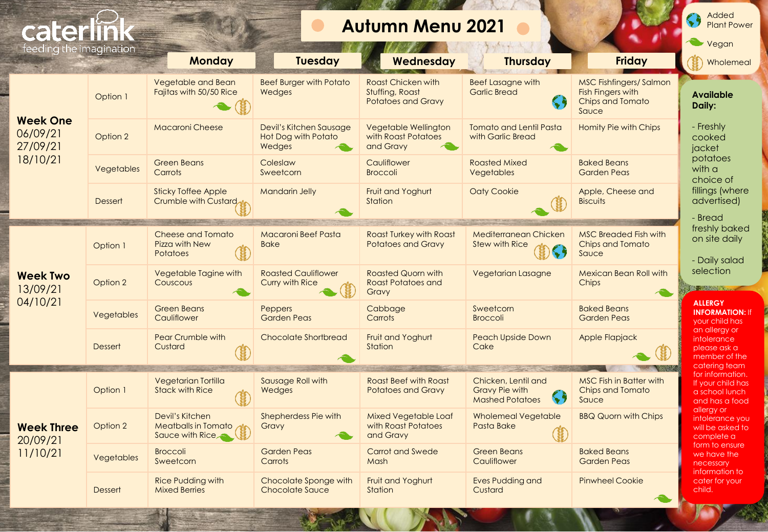| cate                                                |                   |                                                                  |                                                                 | <b>Autumn Menu 2021</b>                                            |                                                                        |                                                                                               | Added<br><b>Plant Power</b>                                                    |
|-----------------------------------------------------|-------------------|------------------------------------------------------------------|-----------------------------------------------------------------|--------------------------------------------------------------------|------------------------------------------------------------------------|-----------------------------------------------------------------------------------------------|--------------------------------------------------------------------------------|
| feeding the imagination                             |                   | <b>Monday</b>                                                    | <b>Tuesday</b>                                                  | Wednesday                                                          | <b>Thursday</b>                                                        | <b>Friday</b>                                                                                 | Vegan<br>Wholemeal                                                             |
| <b>Week One</b><br>06/09/21<br>27/09/21<br>18/10/21 | Option 1          | Vegetable and Bean<br>Fajitas with 50/50 Rice                    | <b>Beef Burger with Potato</b><br>Wedges                        | Roast Chicken with<br>Stuffing, Roast<br><b>Potatoes and Gravy</b> | <b>Beef Lasagne with</b><br><b>Garlic Bread</b><br>S,                  | <b>MSC Fishfingers/Salmon</b><br><b>Fish Fingers with</b><br><b>Chips and Tomato</b><br>Sauce | <b>Available</b><br>Daily:                                                     |
|                                                     | Option 2          | <b>Macaroni Cheese</b>                                           | Devil's Kitchen Sausage<br><b>Hot Dog with Potato</b><br>Wedges | Vegetable Wellington<br>with Roast Potatoes<br>and Gravy           | Tomato and Lentil Pasta<br>with Garlic Bread                           | Homity Pie with Chips                                                                         | - Freshly<br>cooked<br>iacket                                                  |
|                                                     | Vegetables        | <b>Green Beans</b><br>Carrots                                    | Coleslaw<br>Sweetcorn                                           | Cauliflower<br><b>Broccoli</b>                                     | <b>Roasted Mixed</b><br>Vegetables                                     | <b>Baked Beans</b><br><b>Garden Peas</b>                                                      | potatoes<br>with a<br>choice of                                                |
|                                                     | <b>Dessert</b>    | <b>Sticky Toffee Apple</b><br>Crumble with Custard               | <b>Mandarin Jelly</b>                                           | <b>Fruit and Yoghurt</b><br>Station                                | <b>Oaty Cookie</b>                                                     | Apple, Cheese and<br><b>Biscuits</b>                                                          | fillings (where<br>advertised)<br>- Bread                                      |
| <b>Week Two</b><br>13/09/21<br>04/10/21             | Option 1          | <b>Cheese and Tomato</b><br>Pizza with New<br><b>Potatoes</b>    | <b>Macaroni Beef Pasta</b><br><b>Bake</b>                       | <b>Roast Turkey with Roast</b><br><b>Potatoes and Gravy</b>        | Mediterranean Chicken<br><b>Stew with Rice</b>                         | <b>MSC Breaded Fish with</b><br><b>Chips and Tomato</b><br>Sauce                              | freshly baked<br>on site daily<br>- Daily salad                                |
|                                                     | Option 2          | Vegetable Tagine with<br>Couscous                                | <b>Roasted Cauliflower</b><br><b>Curry with Rice</b>            | <b>Roasted Quorn with</b><br><b>Roast Potatoes and</b><br>Gravy    | <b>Vegetarian Lasagne</b>                                              | <b>Mexican Bean Roll with</b><br>Chips                                                        | selection<br><b>NEWSBEATER</b>                                                 |
|                                                     | Vegetables        | <b>Green Beans</b><br>Cauliflower                                | <b>Peppers</b><br><b>Garden Peas</b>                            | Cabbage<br>Carrots                                                 | Sweetcorn<br><b>Broccoli</b>                                           | <b>Baked Beans</b><br><b>Garden Peas</b>                                                      | <b>ALLERGY</b><br><b>INFORMATION: If</b><br>your child has                     |
|                                                     | <b>Dessert</b>    | <b>Pear Crumble with</b><br>Custard                              | <b>Chocolate Shortbread</b>                                     | <b>Fruit and Yoghurt</b><br>Station                                | <b>Peach Upside Down</b><br>Cake                                       | Apple Flapjack                                                                                | an allergy or<br>intolerance<br>please ask a<br>member of the<br>catering team |
| <b>Week Three</b><br>20/09/21<br>11/10/21           | Option 1          | <b>Vegetarian Tortilla</b><br><b>Stack with Rice</b>             | Sausage Roll with<br>Wedges                                     | <b>Roast Beef with Roast</b><br><b>Potatoes and Gravy</b>          | Chicken, Lentil and<br><b>Gravy Pie with</b><br><b>Mashed Potatoes</b> | <b>MSC Fish in Batter with</b><br><b>Chips and Tomato</b><br>Sauce                            | for information.<br>If your child has<br>a school lunch<br>and has a food      |
|                                                     | Option 2          | Devil's Kitchen<br><b>Meatballs in Tomato</b><br>Sauce with Rice | Shepherdess Pie with<br>Gravy                                   | Mixed Vegetable Loaf<br>with Roast Potatoes<br>and Gravy           | Wholemeal Vegetable<br>Pasta Bake                                      | <b>BBQ Quorn with Chips</b>                                                                   | allergy or<br>intolerance you<br>will be asked to<br>complete a                |
|                                                     | <b>Vegetables</b> | <b>Broccoli</b><br>Sweetcorn                                     | <b>Garden Peas</b><br>Carrots                                   | <b>Carrot and Swede</b><br>Mash                                    | <b>Green Beans</b><br>Cauliflower                                      | <b>Baked Beans</b><br><b>Garden Peas</b>                                                      | form to ensure<br>we have the<br>necessary                                     |
|                                                     | Dessert           | <b>Rice Pudding with</b><br><b>Mixed Berries</b>                 | Chocolate Sponge with<br><b>Chocolate Sauce</b>                 | <b>Fruit and Yoghurt</b><br>Station                                | Eves Pudding and<br>Custard                                            | <b>Pinwheel Cookie</b>                                                                        | information to<br>cater for your<br>child.                                     |